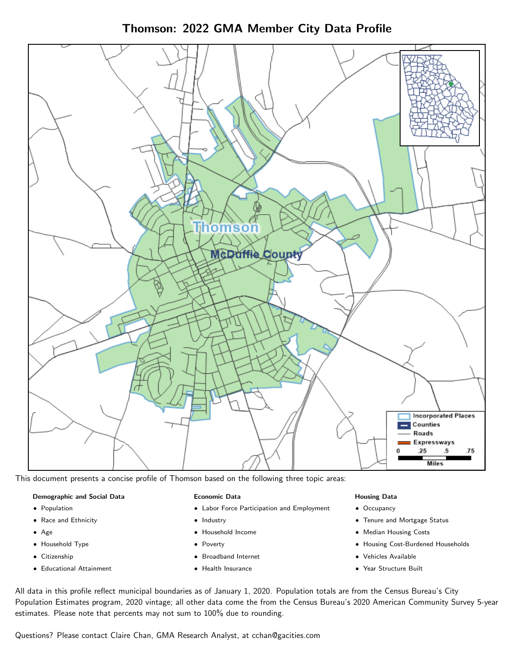Thomson: 2022 GMA Member City Data Profile



This document presents a concise profile of Thomson based on the following three topic areas:

### Demographic and Social Data

- **•** Population
- Race and Ethnicity
- Age
- Household Type
- **Citizenship**
- Educational Attainment

#### Economic Data

- Labor Force Participation and Employment
- Industry
- Household Income
- Poverty
- Broadband Internet
- Health Insurance

### Housing Data

- Occupancy
- Tenure and Mortgage Status
- Median Housing Costs
- Housing Cost-Burdened Households
- Vehicles Available
- Year Structure Built

All data in this profile reflect municipal boundaries as of January 1, 2020. Population totals are from the Census Bureau's City Population Estimates program, 2020 vintage; all other data come the from the Census Bureau's 2020 American Community Survey 5-year estimates. Please note that percents may not sum to 100% due to rounding.

Questions? Please contact Claire Chan, GMA Research Analyst, at [cchan@gacities.com.](mailto:cchan@gacities.com)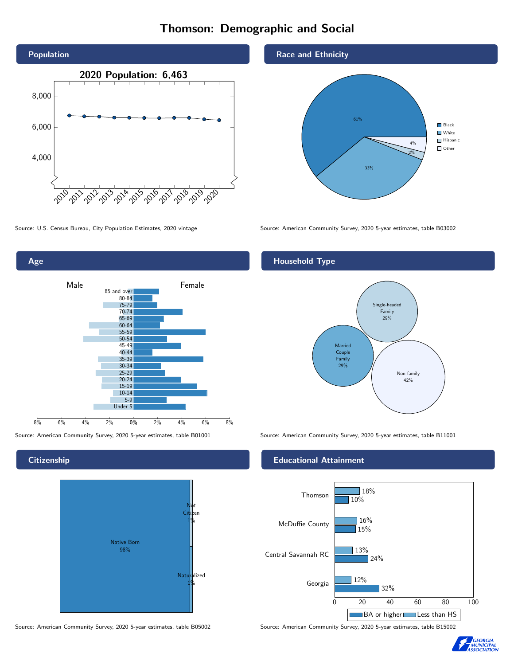# Thomson: Demographic and Social





**Citizenship** 



Source: American Community Survey, 2020 5-year estimates, table B05002 Source: American Community Survey, 2020 5-year estimates, table B15002

Race and Ethnicity



Source: U.S. Census Bureau, City Population Estimates, 2020 vintage Source: American Community Survey, 2020 5-year estimates, table B03002

## Household Type



Source: American Community Survey, 2020 5-year estimates, table B01001 Source: American Community Survey, 2020 5-year estimates, table B11001

### Educational Attainment



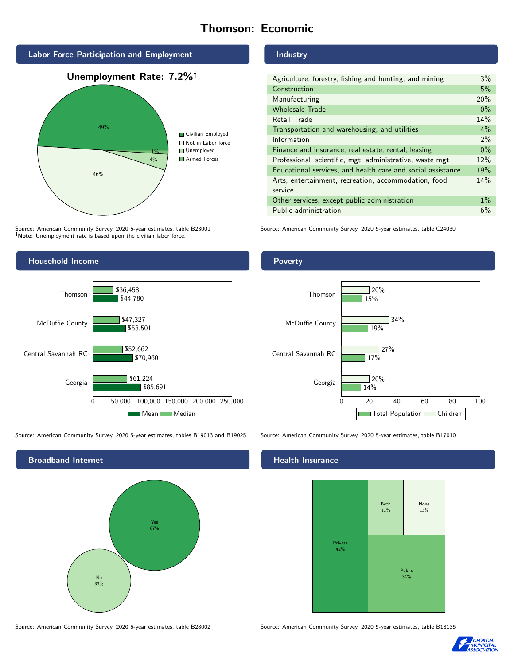# Thomson: Economic



Source: American Community Survey, 2020 5-year estimates, table B23001 Note: Unemployment rate is based upon the civilian labor force.

#### Industry

| Agriculture, forestry, fishing and hunting, and mining      | $3\%$ |
|-------------------------------------------------------------|-------|
| Construction                                                | 5%    |
| Manufacturing                                               | 20%   |
| <b>Wholesale Trade</b>                                      | $0\%$ |
| Retail Trade                                                | 14%   |
| Transportation and warehousing, and utilities               | 4%    |
| Information                                                 | 2%    |
| Finance and insurance, real estate, rental, leasing         | $0\%$ |
| Professional, scientific, mgt, administrative, waste mgt    | 12%   |
| Educational services, and health care and social assistance | 19%   |
| Arts, entertainment, recreation, accommodation, food        | 14%   |
| service                                                     |       |
| Other services, except public administration                | $1\%$ |
| Public administration                                       | 6%    |

Source: American Community Survey, 2020 5-year estimates, table C24030



Source: American Community Survey, 2020 5-year estimates, tables B19013 and B19025 Source: American Community Survey, 2020 5-year estimates, table B17010



Poverty



### Health Insurance



Source: American Community Survey, 2020 5-year estimates, table B28002 Source: American Community Survey, 2020 5-year estimates, table B18135